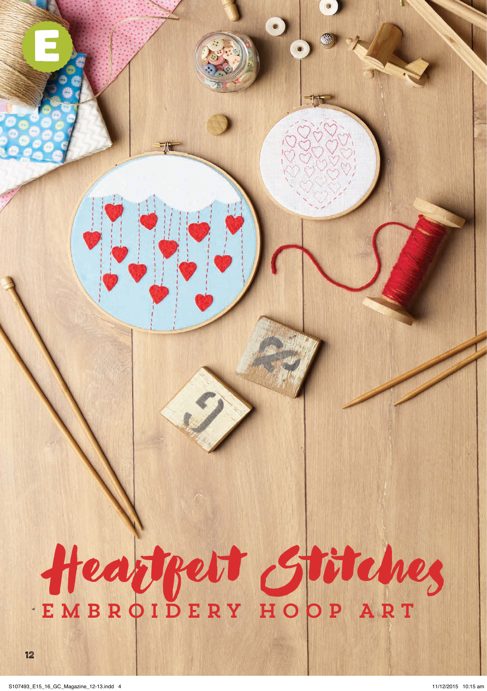# Heartfelt Stitches EMBROIDERY HOOP ART

12

e